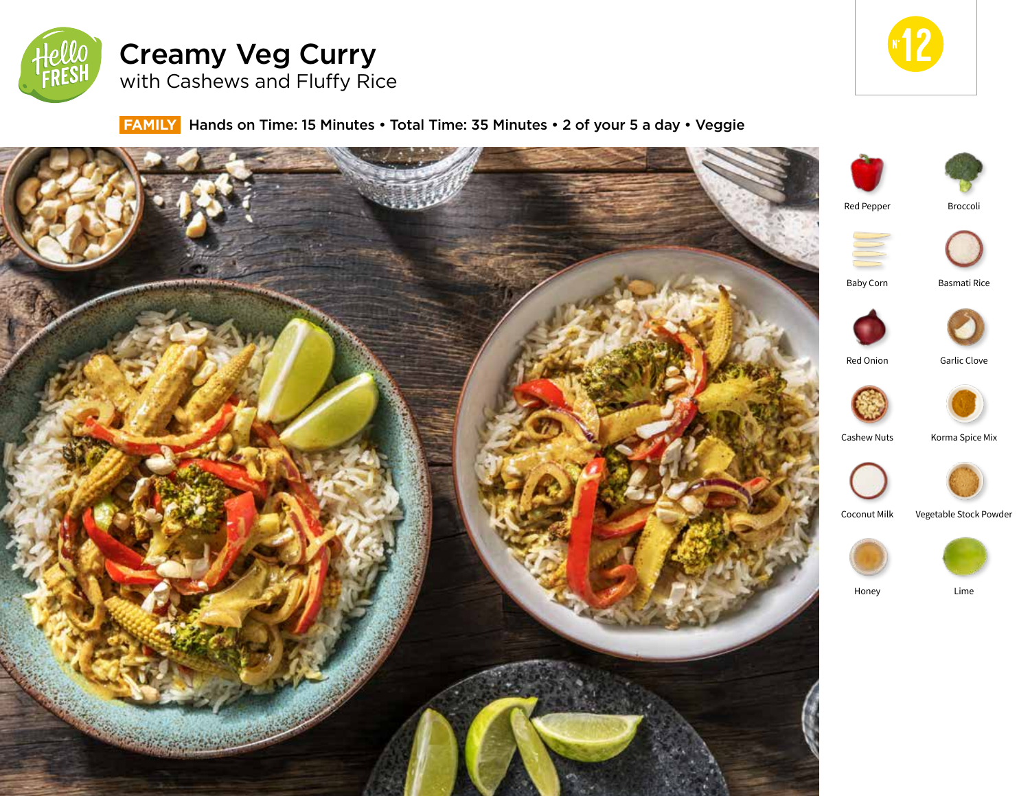

# Creamy Veg Curry with Cashews and Fluffy Rice



**FAMILY** Hands on Time: 15 Minutes • Total Time: 35 Minutes • 2 of your 5 a day • Veggie